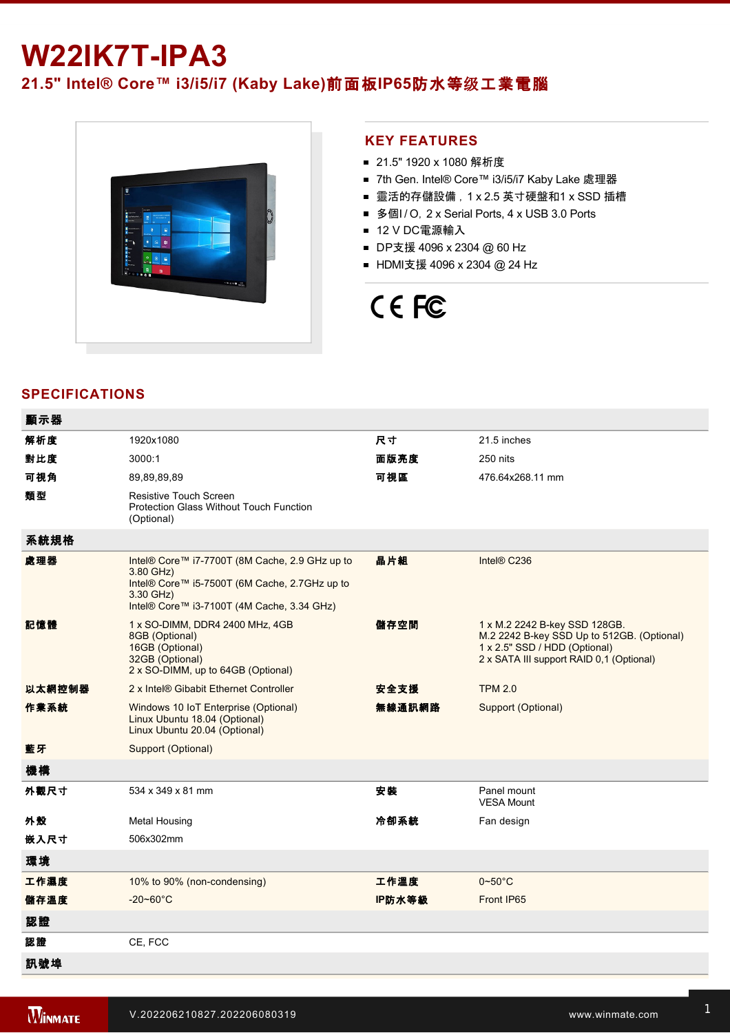## **W22IK7T-IPA3**

### **21.5" Intel® Core™ i3/i5/i7 (Kaby Lake)**前面板**IP65**防水等级工業電腦



### **KEY FEATURES**

- 21.5" 1920 x 1080 解析度
- 7th Gen. Intel® Core™ i3/i5/i7 Kaby Lake 處理器
- 靈活的存儲設備, 1 x 2.5 英寸硬盤和1 x SSD 插槽
- 多個I/O, 2 x Serial Ports, 4 x USB 3.0 Ports
- 12 V DC電源輸入
- DP支援 4096 x 2304 @ 60 Hz
- HDMI支援 4096 x 2304 @ 24 Hz

# CE FC

### **SPECIFICATIONS**

| 顯示器    |                                                                                                                                                                         |        |                                                                                                                                                          |
|--------|-------------------------------------------------------------------------------------------------------------------------------------------------------------------------|--------|----------------------------------------------------------------------------------------------------------------------------------------------------------|
| 解析度    | 1920x1080                                                                                                                                                               | 尺寸     | 21.5 inches                                                                                                                                              |
| 對比度    | 3000:1                                                                                                                                                                  | 面版亮度   | 250 nits                                                                                                                                                 |
| 可視角    | 89,89,89,89                                                                                                                                                             | 可視區    | 476.64x268.11 mm                                                                                                                                         |
| 類型     | <b>Resistive Touch Screen</b><br><b>Protection Glass Without Touch Function</b><br>(Optional)                                                                           |        |                                                                                                                                                          |
| 系統規格   |                                                                                                                                                                         |        |                                                                                                                                                          |
| 處理器    | Intel® Core™ i7-7700T (8M Cache, 2.9 GHz up to<br>3.80 GHz)<br>Intel® Core™ i5-7500T (6M Cache, 2.7GHz up to<br>3.30 GHz)<br>Intel® Core™ i3-7100T (4M Cache, 3.34 GHz) | 晶片組    | Intel® C236                                                                                                                                              |
| 記憶體    | 1 x SO-DIMM, DDR4 2400 MHz, 4GB<br>8GB (Optional)<br>16GB (Optional)<br>32GB (Optional)<br>2 x SO-DIMM, up to 64GB (Optional)                                           | 儲存空間   | 1 x M.2 2242 B-key SSD 128GB.<br>M.2 2242 B-key SSD Up to 512GB. (Optional)<br>1 x 2.5" SSD / HDD (Optional)<br>2 x SATA III support RAID 0,1 (Optional) |
| 以太網控制器 | 2 x Intel® Gibabit Ethernet Controller                                                                                                                                  | 安全支援   | <b>TPM 2.0</b>                                                                                                                                           |
| 作業系統   | Windows 10 IoT Enterprise (Optional)<br>Linux Ubuntu 18.04 (Optional)<br>Linux Ubuntu 20.04 (Optional)                                                                  | 無線通訊網路 | Support (Optional)                                                                                                                                       |
| 藍牙     | Support (Optional)                                                                                                                                                      |        |                                                                                                                                                          |
| 機構     |                                                                                                                                                                         |        |                                                                                                                                                          |
| 外觀尺寸   | 534 x 349 x 81 mm                                                                                                                                                       | 安装     | Panel mount<br><b>VESA Mount</b>                                                                                                                         |
| 外殼     | <b>Metal Housing</b>                                                                                                                                                    | 冷卻系統   | Fan design                                                                                                                                               |
| 嵌入尺寸   | 506x302mm                                                                                                                                                               |        |                                                                                                                                                          |
| 環境     |                                                                                                                                                                         |        |                                                                                                                                                          |
| 工作濕度   | 10% to 90% (non-condensing)                                                                                                                                             | 工作溫度   | $0 - 50^{\circ}$ C                                                                                                                                       |
| 儲存溫度   | $-20 - 60^{\circ}$ C                                                                                                                                                    | IP防水等級 | Front IP65                                                                                                                                               |
| 認證     |                                                                                                                                                                         |        |                                                                                                                                                          |
| 認證     | CE, FCC                                                                                                                                                                 |        |                                                                                                                                                          |
| 訊號埠    |                                                                                                                                                                         |        |                                                                                                                                                          |

and the state of the state of the state of the state of the state of the state of the state of the state of th

 $\mathcal{L}^2$  and  $\mathcal{L}^2$  is  $\mathcal{L}^2$  for  $\mathcal{L}^2$  for  $\mathcal{L}^2$  for  $\mathcal{L}^2$  for  $\mathcal{L}^2$  for  $\mathcal{L}^2$  for  $\mathcal{L}^2$  for  $\mathcal{L}^2$